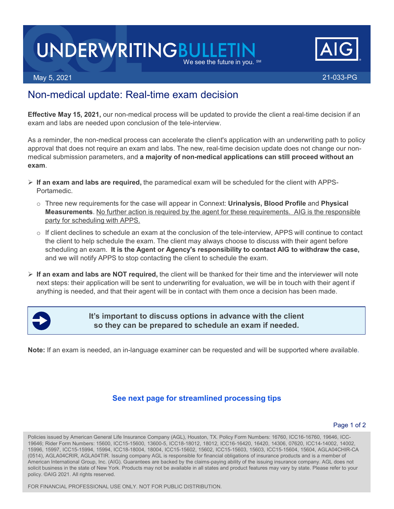# **UNDERWRITINGBULLI** We see the future in you.  $\textsf{\small SM}$





## Non-medical update: Real-time exam decision

**Effective May 15, 2021,** our non-medical process will be updated to provide the client a real-time decision if an exam and labs are needed upon conclusion of the tele-interview.

As a reminder, the non-medical process can accelerate the client's application with an underwriting path to policy approval that does not require an exam and labs. The new, real-time decision update does not change our nonmedical submission parameters, and **a majority of non-medical applications can still proceed without an exam**.

- **If an exam and labs are required,** the paramedical exam will be scheduled for the client with APPS-Portamedic.
	- o Three new requirements for the case will appear in Connext: **Urinalysis, Blood Profile** and **Physical Measurements**. No further action is required by the agent for these requirements. AIG is the responsible party for scheduling with APPS.
	- o If client declines to schedule an exam at the conclusion of the tele-interview, APPS will continue to contact the client to help schedule the exam. The client may always choose to discuss with their agent before scheduling an exam. **It is the Agent or Agency's responsibility to contact AIG to withdraw the case,**  and we will notify APPS to stop contacting the client to schedule the exam.
- **If an exam and labs are NOT required,** the client will be thanked for their time and the interviewer will note next steps: their application will be sent to underwriting for evaluation, we will be in touch with their agent if anything is needed, and that their agent will be in contact with them once a decision has been made.



**It's important to discuss options in advance with the client so they can be prepared to schedule an exam if needed.**

**Note:** If an exam is needed, an in-language examiner can be requested and will be supported where available.

### **See next page for streamlined processing tips**

Page 1 of 2

Policies issued by American General Life Insurance Company (AGL), Houston, TX. Policy Form Numbers: 16760, ICC16-16760, 19646, ICC-19646; Rider Form Numbers: 15600, ICC15-15600, 13600-5, ICC18-18012, 18012, ICC16-16420, 16420, 14306, 07620, ICC14-14002, 14002, 15996, 15997, ICC15-15994, 15994, ICC18-18004, 18004, ICC15-15602, 15602, ICC15-15603, 15603, ICC15-15604, 15604, AGLA04CHIR-CA (0514), AGLA04CRIR, AGLA04TIR. Issuing company AGL is responsible for financial obligations of insurance products and is a member of American International Group, Inc. (AIG). Guarantees are backed by the claims-paying ability of the issuing insurance company. AGL does not solicit business in the state of New York. Products may not be available in all states and product features may vary by state. Please refer to your policy. ©AIG 2021. All rights reserved.